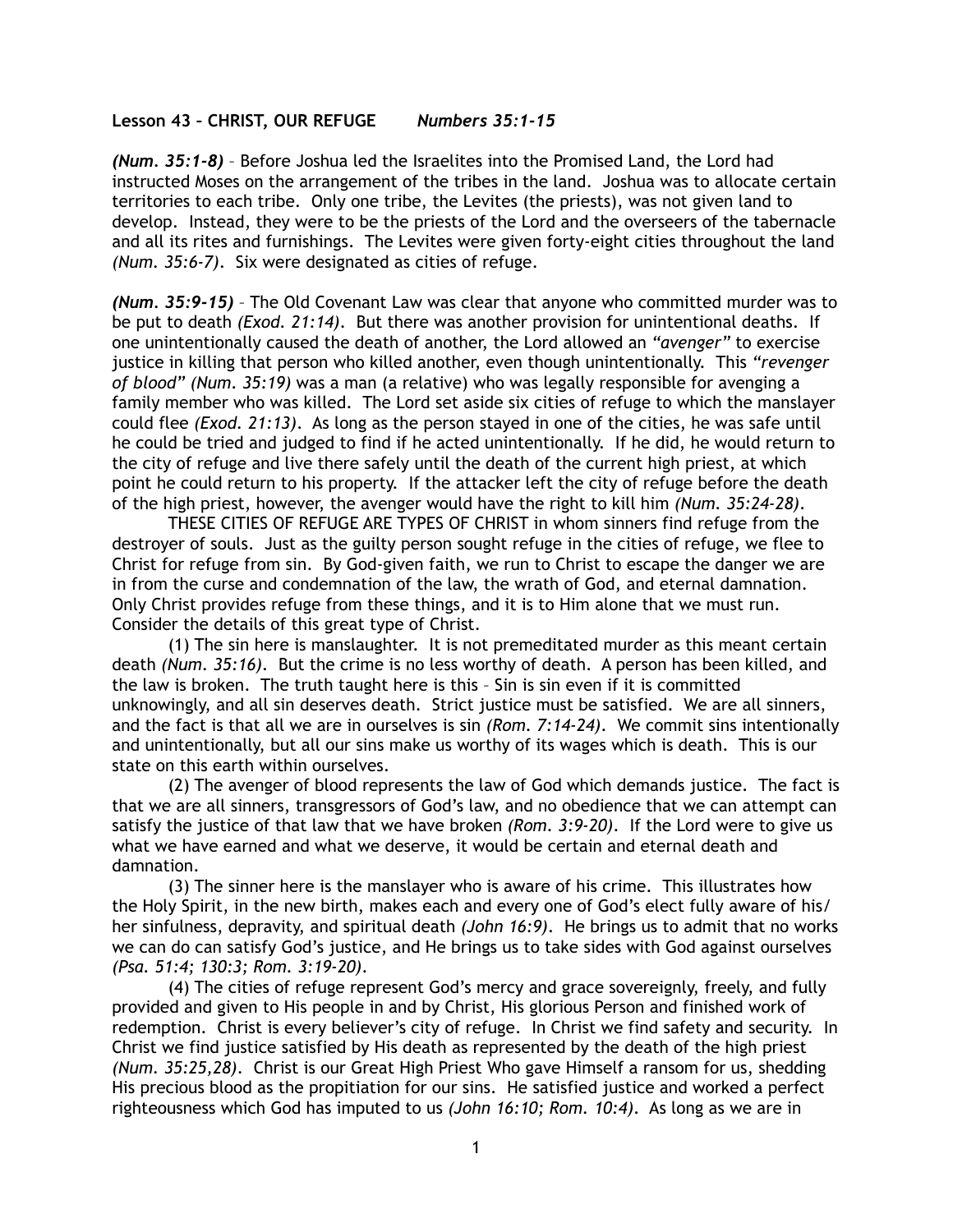## **Lesson 43 – CHRIST, OUR REFUGE** *Numbers 35:1-15*

*(Num. 35:1-8)* – Before Joshua led the Israelites into the Promised Land, the Lord had instructed Moses on the arrangement of the tribes in the land. Joshua was to allocate certain territories to each tribe. Only one tribe, the Levites (the priests), was not given land to develop. Instead, they were to be the priests of the Lord and the overseers of the tabernacle and all its rites and furnishings. The Levites were given forty-eight cities throughout the land *(Num. 35:6-7)*. Six were designated as cities of refuge.

*(Num. 35:9-15)* – The Old Covenant Law was clear that anyone who committed murder was to be put to death *(Exod. 21:14)*. But there was another provision for unintentional deaths. If one unintentionally caused the death of another, the Lord allowed an *"avenger"* to exercise justice in killing that person who killed another, even though unintentionally. This *"revenger of blood" (Num. 35:19)* was a man (a relative) who was legally responsible for avenging a family member who was killed. The Lord set aside six cities of refuge to which the manslayer could flee *(Exod. 21:13)*. As long as the person stayed in one of the cities, he was safe until he could be tried and judged to find if he acted unintentionally. If he did, he would return to the city of refuge and live there safely until the death of the current high priest, at which point he could return to his property. If the attacker left the city of refuge before the death of the high priest, however, the avenger would have the right to kill him *(Num. 35:24-28)*.

THESE CITIES OF REFUGE ARE TYPES OF CHRIST in whom sinners find refuge from the destroyer of souls. Just as the guilty person sought refuge in the cities of refuge, we flee to Christ for refuge from sin. By God-given faith, we run to Christ to escape the danger we are in from the curse and condemnation of the law, the wrath of God, and eternal damnation. Only Christ provides refuge from these things, and it is to Him alone that we must run. Consider the details of this great type of Christ.

(1) The sin here is manslaughter. It is not premeditated murder as this meant certain death *(Num. 35:16)*. But the crime is no less worthy of death. A person has been killed, and the law is broken. The truth taught here is this – Sin is sin even if it is committed unknowingly, and all sin deserves death. Strict justice must be satisfied. We are all sinners, and the fact is that all we are in ourselves is sin *(Rom. 7:14-24)*. We commit sins intentionally and unintentionally, but all our sins make us worthy of its wages which is death. This is our state on this earth within ourselves.

(2) The avenger of blood represents the law of God which demands justice. The fact is that we are all sinners, transgressors of God's law, and no obedience that we can attempt can satisfy the justice of that law that we have broken *(Rom. 3:9-20)*. If the Lord were to give us what we have earned and what we deserve, it would be certain and eternal death and damnation.

(3) The sinner here is the manslayer who is aware of his crime. This illustrates how the Holy Spirit, in the new birth, makes each and every one of God's elect fully aware of his/ her sinfulness, depravity, and spiritual death *(John 16:9)*. He brings us to admit that no works we can do can satisfy God's justice, and He brings us to take sides with God against ourselves *(Psa. 51:4; 130:3; Rom. 3:19-20)*.

(4) The cities of refuge represent God's mercy and grace sovereignly, freely, and fully provided and given to His people in and by Christ, His glorious Person and finished work of redemption. Christ is every believer's city of refuge. In Christ we find safety and security. In Christ we find justice satisfied by His death as represented by the death of the high priest *(Num. 35:25,28)*. Christ is our Great High Priest Who gave Himself a ransom for us, shedding His precious blood as the propitiation for our sins. He satisfied justice and worked a perfect righteousness which God has imputed to us *(John 16:10; Rom. 10:4)*. As long as we are in